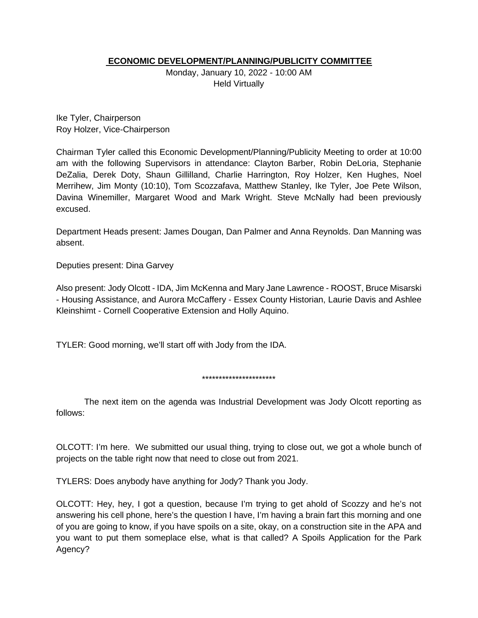# **ECONOMIC DEVELOPMENT/PLANNING/PUBLICITY COMMITTEE**

Monday, January 10, 2022 - 10:00 AM Held Virtually

Ike Tyler, Chairperson Roy Holzer, Vice-Chairperson

Chairman Tyler called this Economic Development/Planning/Publicity Meeting to order at 10:00 am with the following Supervisors in attendance: Clayton Barber, Robin DeLoria, Stephanie DeZalia, Derek Doty, Shaun Gillilland, Charlie Harrington, Roy Holzer, Ken Hughes, Noel Merrihew, Jim Monty (10:10), Tom Scozzafava, Matthew Stanley, Ike Tyler, Joe Pete Wilson, Davina Winemiller, Margaret Wood and Mark Wright. Steve McNally had been previously excused.

Department Heads present: James Dougan, Dan Palmer and Anna Reynolds. Dan Manning was absent.

Deputies present: Dina Garvey

Also present: Jody Olcott - IDA, Jim McKenna and Mary Jane Lawrence - ROOST, Bruce Misarski - Housing Assistance, and Aurora McCaffery - Essex County Historian, Laurie Davis and Ashlee Kleinshimt - Cornell Cooperative Extension and Holly Aquino.

TYLER: Good morning, we'll start off with Jody from the IDA.

\*\*\*\*\*\*\*\*\*\*\*\*\*\*\*\*\*\*\*\*\*\*

The next item on the agenda was Industrial Development was Jody Olcott reporting as follows:

OLCOTT: I'm here. We submitted our usual thing, trying to close out, we got a whole bunch of projects on the table right now that need to close out from 2021.

TYLERS: Does anybody have anything for Jody? Thank you Jody.

OLCOTT: Hey, hey, I got a question, because I'm trying to get ahold of Scozzy and he's not answering his cell phone, here's the question I have, I'm having a brain fart this morning and one of you are going to know, if you have spoils on a site, okay, on a construction site in the APA and you want to put them someplace else, what is that called? A Spoils Application for the Park Agency?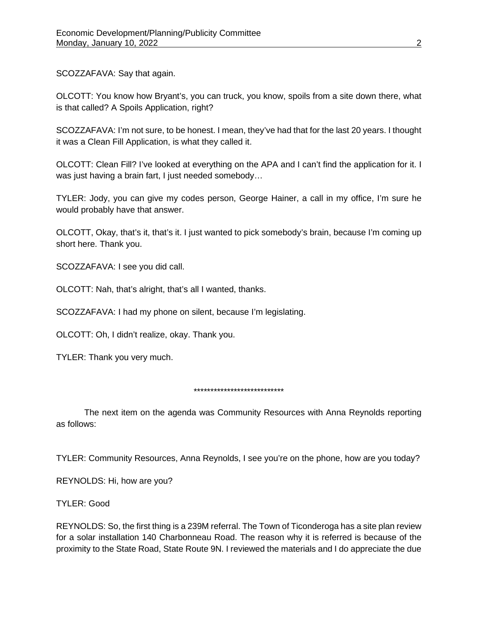SCOZZAFAVA: Say that again.

OLCOTT: You know how Bryant's, you can truck, you know, spoils from a site down there, what is that called? A Spoils Application, right?

SCOZZAFAVA: I'm not sure, to be honest. I mean, they've had that for the last 20 years. I thought it was a Clean Fill Application, is what they called it.

OLCOTT: Clean Fill? I've looked at everything on the APA and I can't find the application for it. I was just having a brain fart, I just needed somebody…

TYLER: Jody, you can give my codes person, George Hainer, a call in my office, I'm sure he would probably have that answer.

OLCOTT, Okay, that's it, that's it. I just wanted to pick somebody's brain, because I'm coming up short here. Thank you.

SCOZZAFAVA: I see you did call.

OLCOTT: Nah, that's alright, that's all I wanted, thanks.

SCOZZAFAVA: I had my phone on silent, because I'm legislating.

OLCOTT: Oh, I didn't realize, okay. Thank you.

TYLER: Thank you very much.

## \*\*\*\*\*\*\*\*\*\*\*\*\*\*\*\*\*\*\*\*\*\*\*\*\*\*\*

The next item on the agenda was Community Resources with Anna Reynolds reporting as follows:

TYLER: Community Resources, Anna Reynolds, I see you're on the phone, how are you today?

REYNOLDS: Hi, how are you?

TYLER: Good

REYNOLDS: So, the first thing is a 239M referral. The Town of Ticonderoga has a site plan review for a solar installation 140 Charbonneau Road. The reason why it is referred is because of the proximity to the State Road, State Route 9N. I reviewed the materials and I do appreciate the due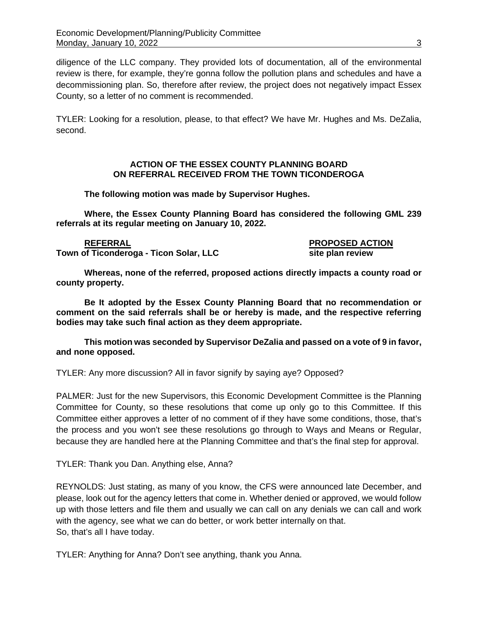diligence of the LLC company. They provided lots of documentation, all of the environmental review is there, for example, they're gonna follow the pollution plans and schedules and have a decommissioning plan. So, therefore after review, the project does not negatively impact Essex County, so a letter of no comment is recommended.

TYLER: Looking for a resolution, please, to that effect? We have Mr. Hughes and Ms. DeZalia, second.

# **ACTION OF THE ESSEX COUNTY PLANNING BOARD ON REFERRAL RECEIVED FROM THE TOWN TICONDEROGA**

**The following motion was made by Supervisor Hughes.**

**Where, the Essex County Planning Board has considered the following GML 239 referrals at its regular meeting on January 10, 2022.**

**REFERRAL PROPOSED ACTION Town of Ticonderoga - Ticon Solar, LLC site plan review** 

**Whereas, none of the referred, proposed actions directly impacts a county road or county property.**

**Be It adopted by the Essex County Planning Board that no recommendation or comment on the said referrals shall be or hereby is made, and the respective referring bodies may take such final action as they deem appropriate.**

**This motion was seconded by Supervisor DeZalia and passed on a vote of 9 in favor, and none opposed.**

TYLER: Any more discussion? All in favor signify by saying aye? Opposed?

PALMER: Just for the new Supervisors, this Economic Development Committee is the Planning Committee for County, so these resolutions that come up only go to this Committee. If this Committee either approves a letter of no comment of if they have some conditions, those, that's the process and you won't see these resolutions go through to Ways and Means or Regular, because they are handled here at the Planning Committee and that's the final step for approval.

TYLER: Thank you Dan. Anything else, Anna?

REYNOLDS: Just stating, as many of you know, the CFS were announced late December, and please, look out for the agency letters that come in. Whether denied or approved, we would follow up with those letters and file them and usually we can call on any denials we can call and work with the agency, see what we can do better, or work better internally on that. So, that's all I have today.

TYLER: Anything for Anna? Don't see anything, thank you Anna.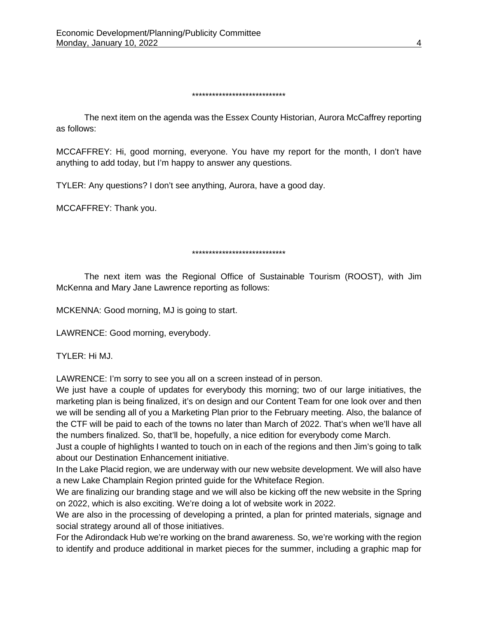#### \*\*\*\*\*\*\*\*\*\*\*\*\*\*\*\*\*\*\*\*\*\*\*\*\*\*\*\*

The next item on the agenda was the Essex County Historian, Aurora McCaffrey reporting as follows:

MCCAFFREY: Hi, good morning, everyone. You have my report for the month, I don't have anything to add today, but I'm happy to answer any questions.

TYLER: Any questions? I don't see anything, Aurora, have a good day.

MCCAFFREY: Thank you.

## \*\*\*\*\*\*\*\*\*\*\*\*\*\*\*\*\*\*\*\*\*\*\*\*\*\*\*\*

The next item was the Regional Office of Sustainable Tourism (ROOST), with Jim McKenna and Mary Jane Lawrence reporting as follows:

MCKENNA: Good morning, MJ is going to start.

LAWRENCE: Good morning, everybody.

TYLER: Hi MJ.

LAWRENCE: I'm sorry to see you all on a screen instead of in person.

We just have a couple of updates for everybody this morning; two of our large initiatives, the marketing plan is being finalized, it's on design and our Content Team for one look over and then we will be sending all of you a Marketing Plan prior to the February meeting. Also, the balance of the CTF will be paid to each of the towns no later than March of 2022. That's when we'll have all the numbers finalized. So, that'll be, hopefully, a nice edition for everybody come March.

Just a couple of highlights I wanted to touch on in each of the regions and then Jim's going to talk about our Destination Enhancement initiative.

In the Lake Placid region, we are underway with our new website development. We will also have a new Lake Champlain Region printed guide for the Whiteface Region.

We are finalizing our branding stage and we will also be kicking off the new website in the Spring on 2022, which is also exciting. We're doing a lot of website work in 2022.

We are also in the processing of developing a printed, a plan for printed materials, signage and social strategy around all of those initiatives.

For the Adirondack Hub we're working on the brand awareness. So, we're working with the region to identify and produce additional in market pieces for the summer, including a graphic map for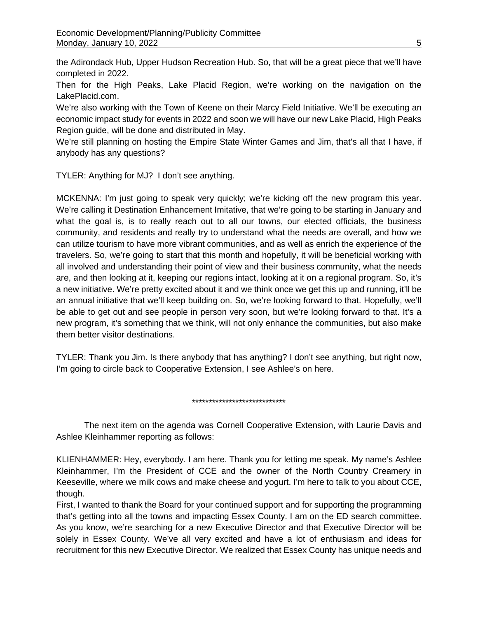the Adirondack Hub, Upper Hudson Recreation Hub. So, that will be a great piece that we'll have completed in 2022.

Then for the High Peaks, Lake Placid Region, we're working on the navigation on the LakePlacid.com.

We're also working with the Town of Keene on their Marcy Field Initiative. We'll be executing an economic impact study for events in 2022 and soon we will have our new Lake Placid, High Peaks Region guide, will be done and distributed in May.

We're still planning on hosting the Empire State Winter Games and Jim, that's all that I have, if anybody has any questions?

TYLER: Anything for MJ? I don't see anything.

MCKENNA: I'm just going to speak very quickly; we're kicking off the new program this year. We're calling it Destination Enhancement Imitative, that we're going to be starting in January and what the goal is, is to really reach out to all our towns, our elected officials, the business community, and residents and really try to understand what the needs are overall, and how we can utilize tourism to have more vibrant communities, and as well as enrich the experience of the travelers. So, we're going to start that this month and hopefully, it will be beneficial working with all involved and understanding their point of view and their business community, what the needs are, and then looking at it, keeping our regions intact, looking at it on a regional program. So, it's a new initiative. We're pretty excited about it and we think once we get this up and running, it'll be an annual initiative that we'll keep building on. So, we're looking forward to that. Hopefully, we'll be able to get out and see people in person very soon, but we're looking forward to that. It's a new program, it's something that we think, will not only enhance the communities, but also make them better visitor destinations.

TYLER: Thank you Jim. Is there anybody that has anything? I don't see anything, but right now, I'm going to circle back to Cooperative Extension, I see Ashlee's on here.

\*\*\*\*\*\*\*\*\*\*\*\*\*\*\*\*\*\*\*\*\*\*\*\*\*\*\*\*

The next item on the agenda was Cornell Cooperative Extension, with Laurie Davis and Ashlee Kleinhammer reporting as follows:

KLIENHAMMER: Hey, everybody. I am here. Thank you for letting me speak. My name's Ashlee Kleinhammer, I'm the President of CCE and the owner of the North Country Creamery in Keeseville, where we milk cows and make cheese and yogurt. I'm here to talk to you about CCE, though.

First, I wanted to thank the Board for your continued support and for supporting the programming that's getting into all the towns and impacting Essex County. I am on the ED search committee. As you know, we're searching for a new Executive Director and that Executive Director will be solely in Essex County. We've all very excited and have a lot of enthusiasm and ideas for recruitment for this new Executive Director. We realized that Essex County has unique needs and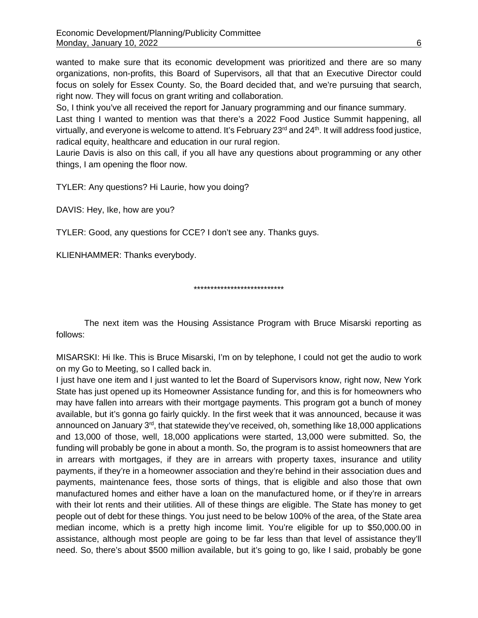wanted to make sure that its economic development was prioritized and there are so many organizations, non-profits, this Board of Supervisors, all that that an Executive Director could focus on solely for Essex County. So, the Board decided that, and we're pursuing that search, right now. They will focus on grant writing and collaboration.

So, I think you've all received the report for January programming and our finance summary.

Last thing I wanted to mention was that there's a 2022 Food Justice Summit happening, all virtually, and everyone is welcome to attend. It's February  $23^{\text{rd}}$  and  $24^{\text{th}}$ . It will address food justice, radical equity, healthcare and education in our rural region.

Laurie Davis is also on this call, if you all have any questions about programming or any other things, I am opening the floor now.

TYLER: Any questions? Hi Laurie, how you doing?

DAVIS: Hey, Ike, how are you?

TYLER: Good, any questions for CCE? I don't see any. Thanks guys.

KLIENHAMMER: Thanks everybody.

\*\*\*\*\*\*\*\*\*\*\*\*\*\*\*\*\*\*\*\*\*\*\*\*\*\*\*

The next item was the Housing Assistance Program with Bruce Misarski reporting as follows:

MISARSKI: Hi Ike. This is Bruce Misarski, I'm on by telephone, I could not get the audio to work on my Go to Meeting, so I called back in.

I just have one item and I just wanted to let the Board of Supervisors know, right now, New York State has just opened up its Homeowner Assistance funding for, and this is for homeowners who may have fallen into arrears with their mortgage payments. This program got a bunch of money available, but it's gonna go fairly quickly. In the first week that it was announced, because it was announced on January 3<sup>rd</sup>, that statewide they've received, oh, something like 18,000 applications and 13,000 of those, well, 18,000 applications were started, 13,000 were submitted. So, the funding will probably be gone in about a month. So, the program is to assist homeowners that are in arrears with mortgages, if they are in arrears with property taxes, insurance and utility payments, if they're in a homeowner association and they're behind in their association dues and payments, maintenance fees, those sorts of things, that is eligible and also those that own manufactured homes and either have a loan on the manufactured home, or if they're in arrears with their lot rents and their utilities. All of these things are eligible. The State has money to get people out of debt for these things. You just need to be below 100% of the area, of the State area median income, which is a pretty high income limit. You're eligible for up to \$50,000.00 in assistance, although most people are going to be far less than that level of assistance they'll need. So, there's about \$500 million available, but it's going to go, like I said, probably be gone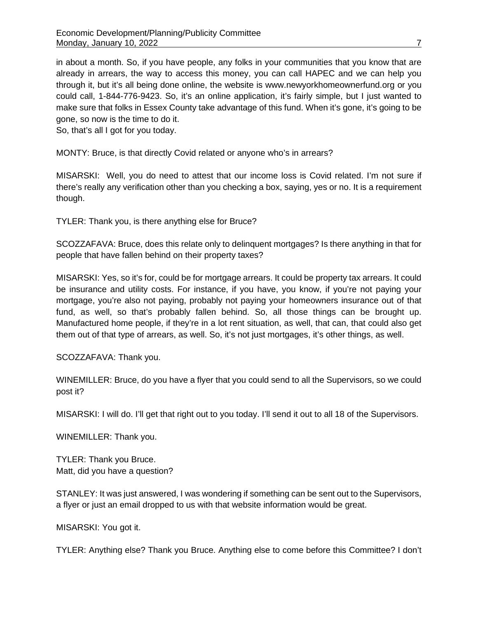in about a month. So, if you have people, any folks in your communities that you know that are already in arrears, the way to access this money, you can call HAPEC and we can help you through it, but it's all being done online, the website is www.newyorkhomeownerfund.org or you could call, 1-844-776-9423. So, it's an online application, it's fairly simple, but I just wanted to make sure that folks in Essex County take advantage of this fund. When it's gone, it's going to be gone, so now is the time to do it.

So, that's all I got for you today.

MONTY: Bruce, is that directly Covid related or anyone who's in arrears?

MISARSKI: Well, you do need to attest that our income loss is Covid related. I'm not sure if there's really any verification other than you checking a box, saying, yes or no. It is a requirement though.

TYLER: Thank you, is there anything else for Bruce?

SCOZZAFAVA: Bruce, does this relate only to delinquent mortgages? Is there anything in that for people that have fallen behind on their property taxes?

MISARSKI: Yes, so it's for, could be for mortgage arrears. It could be property tax arrears. It could be insurance and utility costs. For instance, if you have, you know, if you're not paying your mortgage, you're also not paying, probably not paying your homeowners insurance out of that fund, as well, so that's probably fallen behind. So, all those things can be brought up. Manufactured home people, if they're in a lot rent situation, as well, that can, that could also get them out of that type of arrears, as well. So, it's not just mortgages, it's other things, as well.

SCOZZAFAVA: Thank you.

WINEMILLER: Bruce, do you have a flyer that you could send to all the Supervisors, so we could post it?

MISARSKI: I will do. I'll get that right out to you today. I'll send it out to all 18 of the Supervisors.

WINEMILLER: Thank you.

TYLER: Thank you Bruce. Matt, did you have a question?

STANLEY: It was just answered, I was wondering if something can be sent out to the Supervisors, a flyer or just an email dropped to us with that website information would be great.

MISARSKI: You got it.

TYLER: Anything else? Thank you Bruce. Anything else to come before this Committee? I don't